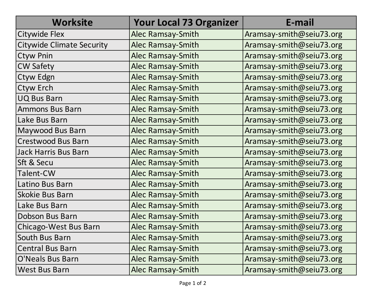| <b>Worksite</b>                  | <b>Your Local 73 Organizer</b> | E-mail                   |
|----------------------------------|--------------------------------|--------------------------|
| <b>Citywide Flex</b>             | Alec Ramsay-Smith              | Aramsay-smith@seiu73.org |
| <b>Citywide Climate Security</b> | <b>Alec Ramsay-Smith</b>       | Aramsay-smith@seiu73.org |
| <b>Ctyw Pnin</b>                 | <b>Alec Ramsay-Smith</b>       | Aramsay-smith@seiu73.org |
| <b>CW Safety</b>                 | <b>Alec Ramsay-Smith</b>       | Aramsay-smith@seiu73.org |
| Ctyw Edgn                        | <b>Alec Ramsay-Smith</b>       | Aramsay-smith@seiu73.org |
| Ctyw Erch                        | <b>Alec Ramsay-Smith</b>       | Aramsay-smith@seiu73.org |
| <b>UQ Bus Barn</b>               | <b>Alec Ramsay-Smith</b>       | Aramsay-smith@seiu73.org |
| <b>Ammons Bus Barn</b>           | Alec Ramsay-Smith              | Aramsay-smith@seiu73.org |
| Lake Bus Barn                    | <b>Alec Ramsay-Smith</b>       | Aramsay-smith@seiu73.org |
| Maywood Bus Barn                 | <b>Alec Ramsay-Smith</b>       | Aramsay-smith@seiu73.org |
| Crestwood Bus Barn               | <b>Alec Ramsay-Smith</b>       | Aramsay-smith@seiu73.org |
| <b>Jack Harris Bus Barn</b>      | Alec Ramsay-Smith              | Aramsay-smith@seiu73.org |
| Sft & Secu                       | <b>Alec Ramsay-Smith</b>       | Aramsay-smith@seiu73.org |
| Talent-CW                        | Alec Ramsay-Smith              | Aramsay-smith@seiu73.org |
| Latino Bus Barn                  | <b>Alec Ramsay-Smith</b>       | Aramsay-smith@seiu73.org |
| <b>Skokie Bus Barn</b>           | <b>Alec Ramsay-Smith</b>       | Aramsay-smith@seiu73.org |
| Lake Bus Barn                    | <b>Alec Ramsay-Smith</b>       | Aramsay-smith@seiu73.org |
| Dobson Bus Barn                  | <b>Alec Ramsay-Smith</b>       | Aramsay-smith@seiu73.org |
| Chicago-West Bus Barn            | <b>Alec Ramsay-Smith</b>       | Aramsay-smith@seiu73.org |
| South Bus Barn                   | Alec Ramsay-Smith              | Aramsay-smith@seiu73.org |
| <b>Central Bus Barn</b>          | <b>Alec Ramsay-Smith</b>       | Aramsay-smith@seiu73.org |
| <b>O'Neals Bus Barn</b>          | Alec Ramsay-Smith              | Aramsay-smith@seiu73.org |
| <b>West Bus Barn</b>             | Alec Ramsay-Smith              | Aramsay-smith@seiu73.org |